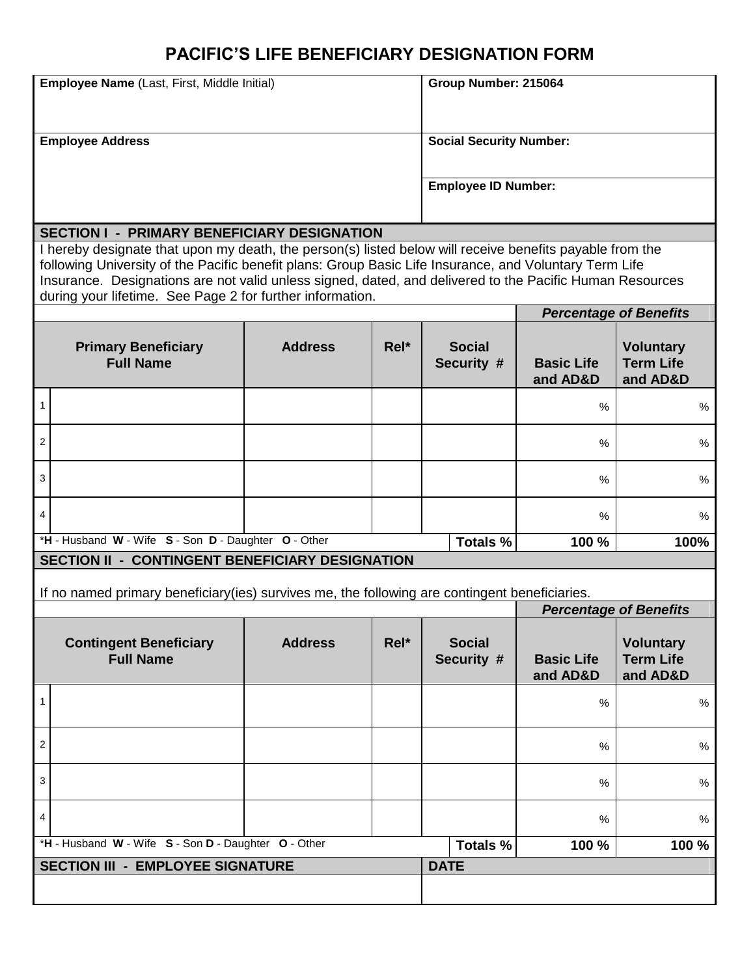## **PACIFIC'S LIFE BENEFICIARY DESIGNATION FORM**

| Employee Name (Last, First, Middle Initial)                                                                                                                                                                                                                                                                                                                                                 |                                                |                |      | Group Number: 215064           |                             |                               |                                                  |
|---------------------------------------------------------------------------------------------------------------------------------------------------------------------------------------------------------------------------------------------------------------------------------------------------------------------------------------------------------------------------------------------|------------------------------------------------|----------------|------|--------------------------------|-----------------------------|-------------------------------|--------------------------------------------------|
| <b>Employee Address</b>                                                                                                                                                                                                                                                                                                                                                                     |                                                |                |      | <b>Social Security Number:</b> |                             |                               |                                                  |
|                                                                                                                                                                                                                                                                                                                                                                                             |                                                |                |      |                                |                             |                               |                                                  |
|                                                                                                                                                                                                                                                                                                                                                                                             |                                                |                |      | <b>Employee ID Number:</b>     |                             |                               |                                                  |
| <b>SECTION I - PRIMARY BENEFICIARY DESIGNATION</b>                                                                                                                                                                                                                                                                                                                                          |                                                |                |      |                                |                             |                               |                                                  |
| I hereby designate that upon my death, the person(s) listed below will receive benefits payable from the<br>following University of the Pacific benefit plans: Group Basic Life Insurance, and Voluntary Term Life<br>Insurance. Designations are not valid unless signed, dated, and delivered to the Pacific Human Resources<br>during your lifetime. See Page 2 for further information. |                                                |                |      |                                |                             |                               |                                                  |
|                                                                                                                                                                                                                                                                                                                                                                                             |                                                |                |      | <b>Percentage of Benefits</b>  |                             |                               |                                                  |
|                                                                                                                                                                                                                                                                                                                                                                                             | <b>Primary Beneficiary</b><br><b>Full Name</b> | <b>Address</b> | Rel* |                                | <b>Social</b><br>Security # | <b>Basic Life</b><br>and AD&D | <b>Voluntary</b><br><b>Term Life</b><br>and AD&D |
| 1                                                                                                                                                                                                                                                                                                                                                                                           |                                                |                |      |                                |                             | $\%$                          | $\%$                                             |
| 2                                                                                                                                                                                                                                                                                                                                                                                           |                                                |                |      |                                |                             | %                             | $\%$                                             |
| 3                                                                                                                                                                                                                                                                                                                                                                                           |                                                |                |      |                                |                             | %                             | %                                                |
| $\overline{4}$                                                                                                                                                                                                                                                                                                                                                                              |                                                |                |      |                                |                             | %                             | $\%$                                             |
| *H - Husband W - Wife S - Son D - Daughter O - Other                                                                                                                                                                                                                                                                                                                                        |                                                |                |      |                                | Totals %                    | 100 %                         | 100%                                             |
| SECTION II - CONTINGENT BENEFICIARY DESIGNATION                                                                                                                                                                                                                                                                                                                                             |                                                |                |      |                                |                             |                               |                                                  |
| If no named primary beneficiary (ies) survives me, the following are contingent beneficiaries.                                                                                                                                                                                                                                                                                              |                                                |                |      |                                |                             |                               |                                                  |
|                                                                                                                                                                                                                                                                                                                                                                                             |                                                |                |      |                                |                             |                               | <b>Percentage of Benefits</b>                    |
| <b>Contingent Beneficiary</b><br><b>Full Name</b>                                                                                                                                                                                                                                                                                                                                           |                                                | <b>Address</b> | Rel* | <b>Social</b><br>Security #    |                             | <b>Basic Life</b><br>and AD&D | <b>Voluntary</b><br><b>Term Life</b><br>and AD&D |
| 1                                                                                                                                                                                                                                                                                                                                                                                           |                                                |                |      |                                |                             | $\%$                          | $\%$                                             |
| 2                                                                                                                                                                                                                                                                                                                                                                                           |                                                |                |      |                                |                             | $\%$                          | $\%$                                             |
| 3                                                                                                                                                                                                                                                                                                                                                                                           |                                                |                |      |                                |                             | %                             | $\%$                                             |
| $\overline{4}$                                                                                                                                                                                                                                                                                                                                                                              |                                                |                |      |                                |                             | $\%$                          | %                                                |
| *H - Husband W - Wife S - Son D - Daughter O - Other                                                                                                                                                                                                                                                                                                                                        |                                                |                |      |                                | <b>Totals %</b>             | 100 %                         | 100 %                                            |
| <b>SECTION III - EMPLOYEE SIGNATURE</b>                                                                                                                                                                                                                                                                                                                                                     |                                                |                |      | <b>DATE</b>                    |                             |                               |                                                  |
|                                                                                                                                                                                                                                                                                                                                                                                             |                                                |                |      |                                |                             |                               |                                                  |